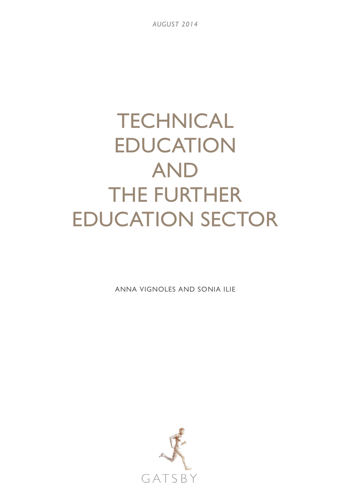*AUGUST 2014*

# **TECHNICAL** EDUCATION AND THE FURTHER EDUCATION SECTOR

ANNA VIGNOLES AND SONIA ILIE

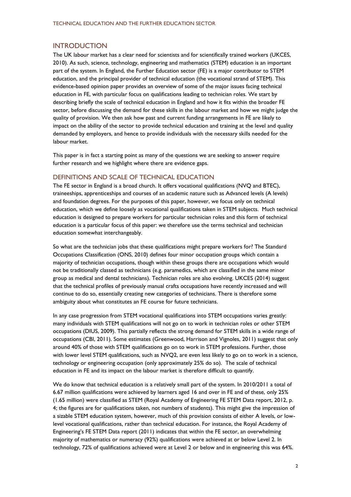## **INTRODUCTION**

The UK labour market has a clear need for scientists and for scientifically trained workers (UKCES, 2010). As such, science, technology, engineering and mathematics (STEM) education is an important part of the system. In England, the Further Education sector (FE) is a major contributor to STEM education, and the principal provider of technical education (the vocational strand of STEM). This evidence-based opinion paper provides an overview of some of the major issues facing technical education in FE, with particular focus on qualifications leading to technician roles. We start by describing briefly the scale of technical education in England and how it fits within the broader FE sector, before discussing the demand for these skills in the labour market and how we might judge the quality of provision. We then ask how past and current funding arrangements in FE are likely to impact on the ability of the sector to provide technical education and training at the level and quality demanded by employers, and hence to provide individuals with the necessary skills needed for the labour market.

This paper is in fact a starting point as many of the questions we are seeking to answer require further research and we highlight where there are evidence gaps.

#### DEFINITIONS AND SCALE OF TECHNICAL EDUCATION

The FE sector in England is a broad church. It offers vocational qualifications (NVQ and BTEC), traineeships, apprenticeships and courses of an academic nature such as Advanced levels (A levels) and foundation degrees. For the purposes of this paper, however, we focus only on technical education, which we define loosely as vocational qualifications taken in STEM subjects. Much technical education is designed to prepare workers for particular technician roles and this form of technical education is a particular focus of this paper: we therefore use the terms technical and technician education somewhat interchangeably.

So what are the technician jobs that these qualifications might prepare workers for? The Standard Occupations Classification (ONS, 2010) defines four minor occupation groups which contain a majority of technician occupations, though within these groups there are occupations which would not be traditionally classed as technicians (e.g. paramedics, which are classified in the same minor group as medical and dental technicians). Technician roles are also evolving. UKCES (2014) suggest that the technical profiles of previously manual crafts occupations have recently increased and will continue to do so, essentially creating new categories of technicians. There is therefore some ambiguity about what constitutes an FE course for future technicians.

In any case progression from STEM vocational qualifications into STEM occupations varies greatly: many individuals with STEM qualifications will not go on to work in technician roles or other STEM occupations (DIUS, 2009). This partially reflects the strong demand for STEM skills in a wide range of occupations (CBI, 2011). Some estimates (Greenwood, Harrison and Vignoles, 2011) suggest that only around 40% of those with STEM qualifications go on to work in STEM professions. Further, those with lower level STEM qualifications, such as NVQ2, are even less likely to go on to work in a science, technology or engineering occupation (only approximately 25% do so). The scale of technical education in FE and its impact on the labour market is therefore difficult to quantify.

We do know that technical education is a relatively small part of the system. In 2010/2011 a total of 6.67 million qualifications were achieved by learners aged 16 and over in FE and of these, only 25% (1.65 million) were classified as STEM (Royal Academy of Engineering FE STEM Data report, 2012, p. 4; the figures are for qualifications taken, not numbers of students). This might give the impression of a sizable STEM education system, however, much of this provision consists of either A levels, or lowlevel vocational qualifications, rather than technical education. For instance, the Royal Academy of Engineering's FE STEM Data report (2011) indicates that within the FE sector, an overwhelming majority of mathematics or numeracy (92%) qualifications were achieved at or below Level 2. In technology, 72% of qualifications achieved were at Level 2 or below and in engineering this was 64%.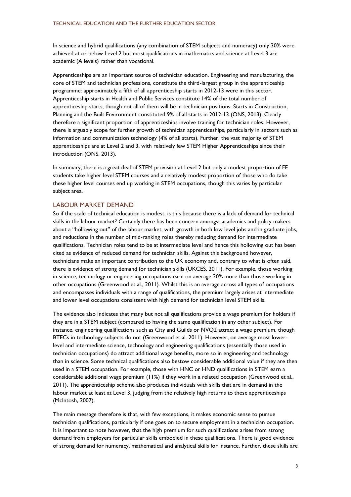In science and hybrid qualifications (any combination of STEM subjects and numeracy) only 30% were achieved at or below Level 2 but most qualifications in mathematics and science at Level 3 are academic (A levels) rather than vocational.

Apprenticeships are an important source of technician education. Engineering and manufacturing, the core of STEM and technician professions, constitute the third-largest group in the apprenticeship programme: approximately a fifth of all apprenticeship starts in 2012-13 were in this sector. Apprenticeship starts in Health and Public Services constitute 14% of the total number of apprenticeship starts, though not all of them will be in technician positions. Starts in Construction, Planning and the Built Environment constituted 9% of all starts in 2012-13 (ONS, 2013). Clearly therefore a significant proportion of apprenticeships involve training for technician roles. However, there is arguably scope for further growth of technician apprenticeships, particularly in sectors such as information and communication technology (4% of all starts). Further, the vast majority of STEM apprenticeships are at Level 2 and 3, with relatively few STEM Higher Apprenticeships since their introduction (ONS, 2013).

In summary, there is a great deal of STEM provision at Level 2 but only a modest proportion of FE students take higher level STEM courses and a relatively modest proportion of those who do take these higher level courses end up working in STEM occupations, though this varies by particular subject area.

## LABOUR MARKET DEMAND

So if the scale of technical education is modest, is this because there is a lack of demand for technical skills in the labour market? Certainly there has been concern amongst academics and policy makers about a "hollowing out" of the labour market, with growth in both low level jobs and in graduate jobs, and reductions in the number of mid-ranking roles thereby reducing demand for intermediate qualifications. Technician roles tend to be at intermediate level and hence this hollowing out has been cited as evidence of reduced demand for technician skills. Against this background however, technicians make an important contribution to the UK economy and, contrary to what is often said, there is evidence of strong demand for technician skills (UKCES, 2011). For example, those working in science, technology or engineering occupations earn on average 20% more than those working in other occupations (Greenwood et al., 2011). Whilst this is an average across all types of occupations and encompasses individuals with a range of qualifications, the premium largely arises at intermediate and lower level occupations consistent with high demand for technician level STEM skills.

The evidence also indicates that many but not all qualifications provide a wage premium for holders if they are in a STEM subject (compared to having the same qualification in any other subject). For instance, engineering qualifications such as City and Guilds or NVQ2 attract a wage premium, though BTECs in technology subjects do not (Greenwood et al. 2011). However, on average most lowerlevel and intermediate science, technology and engineering qualifications (essentially those used in technician occupations) do attract additional wage benefits, more so in engineering and technology than in science. Some technical qualifications also bestow considerable additional value if they are then used in a STEM occupation. For example, those with HNC or HND qualifications in STEM earn a considerable additional wage premium (11%) if they work in a related occupation (Greenwood et al., 2011). The apprenticeship scheme also produces individuals with skills that are in demand in the labour market at least at Level 3, judging from the relatively high returns to these apprenticeships (McIntosh, 2007).

The main message therefore is that, with few exceptions, it makes economic sense to pursue technician qualifications, particularly if one goes on to secure employment in a technician occupation. It is important to note however, that the high premium for such qualifications arises from strong demand from employers for particular skills embodied in these qualifications. There is good evidence of strong demand for numeracy, mathematical and analytical skills for instance. Further, these skills are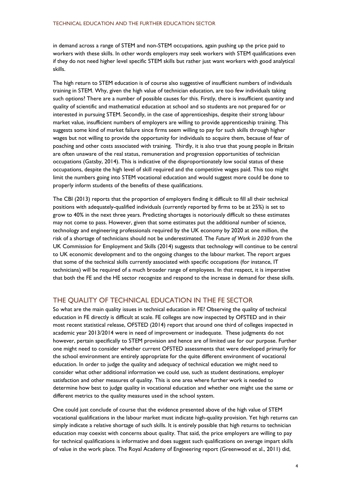in demand across a range of STEM and non-STEM occupations, again pushing up the price paid to workers with these skills. In other words employers may seek workers with STEM qualifications even if they do not need higher level specific STEM skills but rather just want workers with good analytical skills.

The high return to STEM education is of course also suggestive of insufficient numbers of individuals training in STEM. Why, given the high value of technician education, are too few individuals taking such options? There are a number of possible causes for this. Firstly, there is insufficient quantity and quality of scientific and mathematical education at school and so students are not prepared for or interested in pursuing STEM. Secondly, in the case of apprenticeships, despite their strong labour market value, insufficient numbers of employers are willing to provide apprenticeship training. This suggests some kind of market failure since firms seem willing to pay for such skills through higher wages but not willing to provide the opportunity for individuals to acquire them, because of fear of poaching and other costs associated with training. Thirdly, it is also true that young people in Britain are often unaware of the real status, remuneration and progression opportunities of technician occupations (Gatsby, 2014). This is indicative of the disproportionately low social status of these occupations, despite the high level of skill required and the competitive wages paid. This too might limit the numbers going into STEM vocational education and would suggest more could be done to properly inform students of the benefits of these qualifications.

The CBI (2013) reports that the proportion of employers finding it difficult to fill all their technical positions with adequately-qualified individuals (currently reported by firms to be at 25%) is set to grow to 40% in the next three years. Predicting shortages is notoriously difficult so these estimates may not come to pass. However, given that some estimates put the additional number of science, technology and engineering professionals required by the UK economy by 2020 at one million, the risk of a shortage of technicians should not be underestimated. The *Future of Work in 2030* from the UK Commission for Employment and Skills (2014) suggests that technology will continue to be central to UK economic development and to the ongoing changes to the labour market. The report argues that some of the technical skills currently associated with specific occupations (for instance, IT technicians) will be required of a much broader range of employees. In that respect, it is imperative that both the FE and the HE sector recognize and respond to the increase in demand for these skills.

# THE QUALITY OF TECHNICAL EDUCATION IN THE FE SECTOR

So what are the main quality issues in technical education in FE? Observing the quality of technical education in FE directly is difficult at scale. FE colleges are now inspected by OFSTED and in their most recent statistical release, OFSTED (2014) report that around one third of colleges inspected in academic year 2013/2014 were in need of improvement or inadequate. These judgments do not however, pertain specifically to STEM provision and hence are of limited use for our purpose. Further one might need to consider whether current OFSTED assessments that were developed primarily for the school environment are entirely appropriate for the quite different environment of vocational education. In order to judge the quality and adequacy of technical education we might need to consider what other additional information we could use, such as student destinations, employer satisfaction and other measures of quality. This is one area where further work is needed to determine how best to judge quality in vocational education and whether one might use the same or different metrics to the quality measures used in the school system.

One could just conclude of course that the evidence presented above of the high value of STEM vocational qualifications in the labour market must indicate high-quality provision. Yet high returns can simply indicate a relative shortage of such skills. It is entirely possible that high returns to technician education may coexist with concerns about quality. That said, the price employers are willing to pay for technical qualifications is informative and does suggest such qualifications on average impart skills of value in the work place. The Royal Academy of Engineering report (Greenwood et al., 2011) did,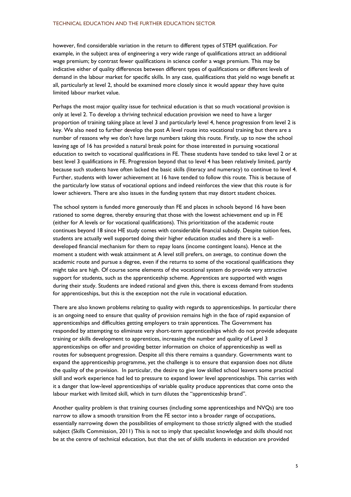however, find considerable variation in the return to different types of STEM qualification. For example, in the subject area of engineering a very wide range of qualifications attract an additional wage premium; by contrast fewer qualifications in science confer a wage premium. This may be indicative either of quality differences between different types of qualifications or different levels of demand in the labour market for specific skills. In any case, qualifications that yield no wage benefit at all, particularly at level 2, should be examined more closely since it would appear they have quite limited labour market value.

Perhaps the most major quality issue for technical education is that so much vocational provision is only at level 2. To develop a thriving technical education provision we need to have a larger proportion of training taking place at level 3 and particularly level 4, hence progression from level 2 is key. We also need to further develop the post A level route into vocational training but there are a number of reasons why we don't have large numbers taking this route. Firstly, up to now the school leaving age of 16 has provided a natural break point for those interested in pursuing vocational education to switch to vocational qualifications in FE. These students have tended to take level 2 or at best level 3 qualifications in FE. Progression beyond that to level 4 has been relatively limited, partly because such students have often lacked the basic skills (literacy and numeracy) to continue to level 4. Further, students with lower achievement at 16 have tended to follow this route. This is because of the particularly low status of vocational options and indeed reinforces the view that this route is for lower achievers. There are also issues in the funding system that may distort student choices.

The school system is funded more generously than FE and places in schools beyond 16 have been rationed to some degree, thereby ensuring that those with the lowest achievement end up in FE (either for A levels or for vocational qualifications). This prioritization of the academic route continues beyond 18 since HE study comes with considerable financial subsidy. Despite tuition fees, students are actually well supported doing their higher education studies and there is a welldeveloped financial mechanism for them to repay loans (income contingent loans). Hence at the moment a student with weak attainment at A level still prefers, on average, to continue down the academic route and pursue a degree, even if the returns to some of the vocational qualifications they might take are high. Of course some elements of the vocational system do provide very attractive support for students, such as the apprenticeship scheme. Apprentices are supported with wages during their study. Students are indeed rational and given this, there is excess demand from students for apprenticeships, but this is the exception not the rule in vocational education.

There are also known problems relating to quality with regards to apprenticeships. In particular there is an ongoing need to ensure that quality of provision remains high in the face of rapid expansion of apprenticeships and difficulties getting employers to train apprentices. The Government has responded by attempting to eliminate very short-term apprenticeships which do not provide adequate training or skills development to apprentices, increasing the number and quality of Level 3 apprenticeships on offer and providing better information on choice of apprenticeship as well as routes for subsequent progression. Despite all this there remains a quandary. Governments want to expand the apprenticeship programme, yet the challenge is to ensure that expansion does not dilute the quality of the provision. In particular, the desire to give low skilled school leavers some practical skill and work experience had led to pressure to expand lower level apprenticeships. This carries with it a danger that low-level apprenticeships of variable quality produce apprentices that come onto the labour market with limited skill, which in turn dilutes the "apprenticeship brand".

Another quality problem is that training courses (including some apprenticeships and NVQs) are too narrow to allow a smooth transition from the FE sector into a broader range of occupations, essentially narrowing down the possibilities of employment to those strictly aligned with the studied subject (Skills Commission, 2011) This is not to imply that specialist knowledge and skills should not be at the centre of technical education, but that the set of skills students in education are provided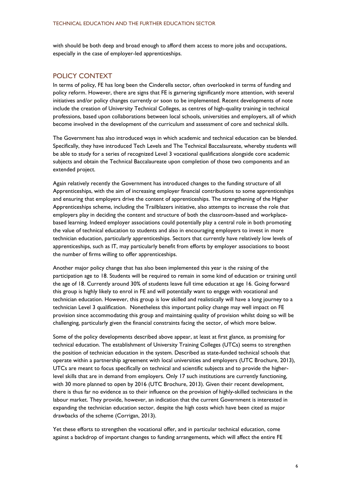with should be both deep and broad enough to afford them access to more jobs and occupations, especially in the case of employer-led apprenticeships.

## POLICY CONTEXT

In terms of policy, FE has long been the Cinderella sector, often overlooked in terms of funding and policy reform. However, there are signs that FE is garnering significantly more attention, with several initiatives and/or policy changes currently or soon to be implemented. Recent developments of note include the creation of University Technical Colleges, as centres of high-quality training in technical professions, based upon collaborations between local schools, universities and employers, all of which become involved in the development of the curriculum and assessment of core and technical skills.

The Government has also introduced ways in which academic and technical education can be blended. Specifically, they have introduced Tech Levels and The Technical Baccalaureate, whereby students will be able to study for a series of recognized Level 3 vocational qualifications alongside core academic subjects and obtain the Technical Baccalaureate upon completion of those two components and an extended project.

Again relatively recently the Government has introduced changes to the funding structure of all Apprenticeships, with the aim of increasing employer financial contributions to some apprenticeships and ensuring that employers drive the content of apprenticeships. The strengthening of the Higher Apprenticeships scheme, including the Trailblazers initiative, also attempts to increase the role that employers play in deciding the content and structure of both the classroom-based and workplacebased learning. Indeed employer associations could potentially play a central role in both promoting the value of technical education to students and also in encouraging employers to invest in more technician education, particularly apprenticeships. Sectors that currently have relatively low levels of apprenticeships, such as IT, may particularly benefit from efforts by employer associations to boost the number of firms willing to offer apprenticeships.

Another major policy change that has also been implemented this year is the raising of the participation age to 18. Students will be required to remain in some kind of education or training until the age of 18. Currently around 30% of students leave full time education at age 16. Going forward this group is highly likely to enrol in FE and will potentially want to engage with vocational and technician education. However, this group is low skilled and realistically will have a long journey to a technician Level 3 qualification. Nonetheless this important policy change may well impact on FE provision since accommodating this group and maintaining quality of provision whilst doing so will be challenging, particularly given the financial constraints facing the sector, of which more below.

Some of the policy developments described above appear, at least at first glance, as promising for technical education. The establishment of University Training Colleges (UTCs) seems to strengthen the position of technician education in the system. Described as state-funded technical schools that operate within a partnership agreement with local universities and employers (UTC Brochure, 2013), UTCs are meant to focus specifically on technical and scientific subjects and to provide the higherlevel skills that are in demand from employers. Only 17 such institutions are currently functioning, with 30 more planned to open by 2016 (UTC Brochure, 2013). Given their recent development, there is thus far no evidence as to their influence on the provision of highly-skilled technicians in the labour market. They provide, however, an indication that the current Government is interested in expanding the technician education sector, despite the high costs which have been cited as major drawbacks of the scheme (Corrigan, 2013).

Yet these efforts to strengthen the vocational offer, and in particular technical education, come against a backdrop of important changes to funding arrangements, which will affect the entire FE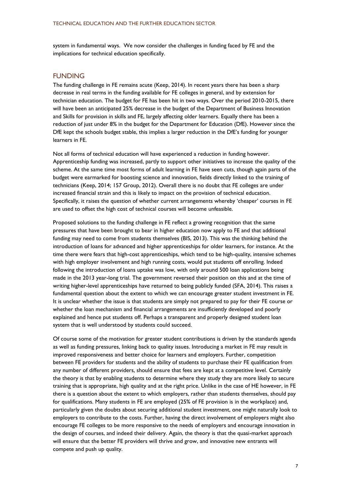system in fundamental ways. We now consider the challenges in funding faced by FE and the implications for technical education specifically.

## FUNDING

The funding challenge in FE remains acute (Keep, 2014). In recent years there has been a sharp decrease in real terms in the funding available for FE colleges in general, and by extension for technician education. The budget for FE has been hit in two ways. Over the period 2010-2015, there will have been an anticipated 25% decrease in the budget of the Department of Business Innovation and Skills for provision in skills and FE, largely affecting older learners. Equally there has been a reduction of just under 8% in the budget for the Department for Education (DfE). However since the DfE kept the schools budget stable, this implies a larger reduction in the DfE's funding for younger learners in FE.

Not all forms of technical education will have experienced a reduction in funding however. Apprenticeship funding was increased, partly to support other initiatives to increase the quality of the scheme. At the same time most forms of adult learning in FE have seen cuts, though again parts of the budget were earmarked for boosting science and innovation, fields directly linked to the training of technicians (Keep, 2014; 157 Group, 2012). Overall there is no doubt that FE colleges are under increased financial strain and this is likely to impact on the provision of technical education. Specifically, it raises the question of whether current arrangements whereby 'cheaper' courses in FE are used to offset the high cost of technical courses will become unfeasible.

Proposed solutions to the funding challenge in FE reflect a growing recognition that the same pressures that have been brought to bear in higher education now apply to FE and that additional funding may need to come from students themselves (BIS, 2013). This was the thinking behind the introduction of loans for advanced and higher apprenticeships for older learners, for instance. At the time there were fears that high-cost apprenticeships, which tend to be high-quality, intensive schemes with high employer involvement and high running costs, would put students off enrolling. Indeed following the introduction of loans uptake was low, with only around 500 loan applications being made in the 2013 year-long trial. The government reversed their position on this and at the time of writing higher-level apprenticeships have returned to being publicly funded (SFA, 2014). This raises a fundamental question about the extent to which we can encourage greater student investment in FE. It is unclear whether the issue is that students are simply not prepared to pay for their FE course or whether the loan mechanism and financial arrangements are insufficiently developed and poorly explained and hence put students off. Perhaps a transparent and properly designed student loan system that is well understood by students could succeed.

Of course some of the motivation for greater student contributions is driven by the standards agenda as well as funding pressures, linking back to quality issues. Introducing a market in FE may result in improved responsiveness and better choice for learners and employers. Further, competition between FE providers for students and the ability of students to purchase their FE qualification from any number of different providers, should ensure that fees are kept at a competitive level. Certainly the theory is that by enabling students to determine where they study they are more likely to secure training that is appropriate, high quality and at the right price. Unlike in the case of HE however, in FE there is a question about the extent to which employers, rather than students themselves, should pay for qualifications. Many students in FE are employed (25% of FE provision is in the workplace) and, particularly given the doubts about securing additional student investment, one might naturally look to employers to contribute to the costs. Further, having the direct involvement of employers might also encourage FE colleges to be more responsive to the needs of employers and encourage innovation in the design of courses, and indeed their delivery. Again, the theory is that the quasi-market approach will ensure that the better FE providers will thrive and grow, and innovative new entrants will compete and push up quality.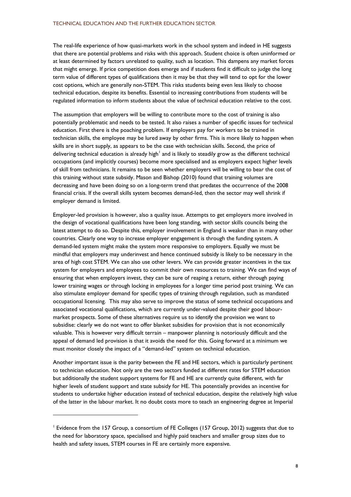The real-life experience of how quasi-markets work in the school system and indeed in HE suggests that there are potential problems and risks with this approach. Student choice is often uninformed or at least determined by factors unrelated to quality, such as location. This dampens any market forces that might emerge. If price competition does emerge and if students find it difficult to judge the long term value of different types of qualifications then it may be that they will tend to opt for the lower cost options, which are generally non-STEM. This risks students being even less likely to choose technical education, despite its benefits. Essential to increasing contributions from students will be regulated information to inform students about the value of technical education relative to the cost.

The assumption that employers will be willing to contribute more to the cost of training is also potentially problematic and needs to be tested. It also raises a number of specific issues for technical education. First there is the poaching problem. If employers pay for workers to be trained in technician skills, the employee may be lured away by other firms. This is more likely to happen when skills are in short supply, as appears to be the case with technician skills. Second, the price of delivering technical education is already high<sup>1</sup> and is likely to steadily grow as the different technical occupations (and implicitly courses) become more specialised and as employers expect higher levels of skill from technicians. It remains to be seen whether employers will be willing to bear the cost of this training without state subsidy. Mason and Bishop (2010) found that training volumes are decreasing and have been doing so on a long-term trend that predates the occurrence of the 2008 financial crisis. If the overall skills system becomes demand-led, then the sector may well shrink if employer demand is limited.

Employer-led provision is however, also a quality issue. Attempts to get employers more involved in the design of vocational qualifications have been long standing, with sector skills councils being the latest attempt to do so. Despite this, employer involvement in England is weaker than in many other countries. Clearly one way to increase employer engagement is through the funding system. A demand-led system might make the system more responsive to employers. Equally we must be mindful that employers may underinvest and hence continued subsidy is likely to be necessary in the area of high cost STEM. We can also use other levers. We can provide greater incentives in the tax system for employers and employees to commit their own resources to training. We can find ways of ensuring that when employers invest, they can be sure of reaping a return, either through paying lower training wages or through locking in employees for a longer time period post training. We can also stimulate employer demand for specific types of training through regulation, such as mandated occupational licensing. This may also serve to improve the status of some technical occupations and associated vocational qualifications, which are currently under-valued despite their good labourmarket prospects. Some of these alternatives require us to identify the provision we want to subsidise: clearly we do not want to offer blanket subsidies for provision that is not economically valuable. This is however very difficult terrain – manpower planning is notoriously difficult and the appeal of demand led provision is that it avoids the need for this. Going forward at a minimum we must monitor closely the impact of a "demand-led" system on technical education.

Another important issue is the parity between the FE and HE sectors, which is particularly pertinent to technician education. Not only are the two sectors funded at different rates for STEM education but additionally the student support systems for FE and HE are currently quite different, with far higher levels of student support and state subsidy for HE. This potentially provides an incentive for students to undertake higher education instead of technical education, despite the relatively high value of the latter in the labour market. It no doubt costs more to teach an engineering degree at Imperial

l

<sup>&</sup>lt;sup>1</sup> Evidence from the 157 Group, a consortium of FE Colleges (157 Group, 2012) suggests that due to the need for laboratory space, specialised and highly paid teachers and smaller group sizes due to health and safety issues, STEM courses in FE are certainly more expensive.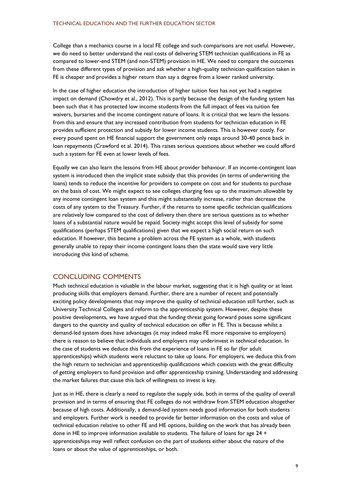College than a mechanics course in a local FE college and such comparisons are not useful. However, we do need to better understand the real costs of delivering STEM technician qualifications in FE as compared to lower-end STEM (and non-STEM) provision in HE. We need to compare the outcomes from these different types of provision and ask whether a high-quality technician qualification taken in FE is cheaper and provides a higher return than say a degree from a lower ranked university.

In the case of higher education the introduction of higher tuition fees has not yet had a negative impact on demand (Chowdry et al., 2012). This is partly because the design of the funding system has been such that it has protected low income students from the full impact of fees via tuition fee waivers, bursaries and the income contingent nature of loans. It is critical that we learn the lessons from this and ensure that any increased contribution from students for technician education in FE provides sufficient protection and subsidy for lower income students. This is however costly. For every pound spent on HE financial support the government only reaps around 30-40 pence back in loan repayments (Crawford et al. 2014). This raises serious questions about whether we could afford such a system for FE even at lower levels of fees.

Equally we can also learn the lessons from HE about provider behaviour. If an income-contingent loan system is introduced then the implicit state subsidy that this provides (in terms of underwriting the loans) tends to reduce the incentive for providers to compete on cost and for students to purchase on the basis of cost. We might expect to see colleges charging fees up to the maximum allowable by any income contingent loan system and this might substantially increase, rather than decrease the costs of any system to the Treasury. Further, if the returns to some specific technician qualifications are relatively low compared to the cost of delivery then there are serious questions as to whether loans of a substantial nature would be repaid. Society might accept this level of subsidy for some qualifications (perhaps STEM qualifications) given that we expect a high social return on such education. If however, this became a problem across the FE system as a whole, with students generally unable to repay their income contingent loans then the state would save very little introducing this kind of scheme.

## CONCLUDING COMMENTS

Much technical education is valuable in the labour market, suggesting that it is high quality or at least producing skills that employers demand. Further, there are a number of recent and potentially exciting policy developments that may improve the quality of technical education still further, such as University Technical Colleges and reform to the apprenticeship system. However, despite these positive developments, we have argued that the funding threat going forward poses some significant dangers to the quantity and quality of technical education on offer in FE. This is because whilst a demand-led system does have advantages (it may indeed make FE more responsive to employers) there is reason to believe that individuals and employers may underinvest in technical education. In the case of students we deduce this from the experience of loans in FE so far (for adult apprenticeships) which students were reluctant to take up loans. For employers, we deduce this from the high return to technician and apprenticeship qualifications which coexists with the great difficulty of getting employers to fund provision and offer apprenticeship training. Understanding and addressing the market failures that cause this lack of willingness to invest is key.

Just as in HE, there is clearly a need to regulate the supply side, both in terms of the quality of overall provision and in terms of ensuring that FE colleges do not withdraw from STEM education altogether because of high costs. Additionally, a demand-led system needs good information for both students and employers. Further work is needed to provide far better information on the costs and value of technical education relative to other FE and HE options, building on the work that has already been done in HE to improve information available to students. The failure of loans for age 24 + apprenticeships may well reflect confusion on the part of students either about the nature of the loans or about the value of apprenticeships, or both.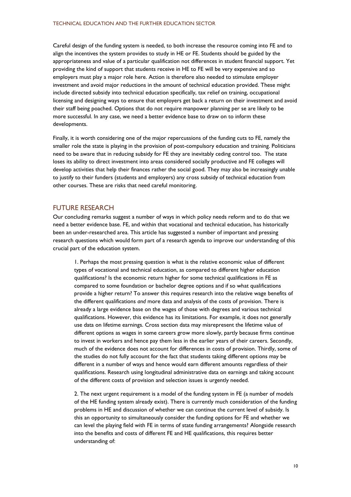Careful design of the funding system is needed, to both increase the resource coming into FE and to align the incentives the system provides to study in HE or FE. Students should be guided by the appropriateness and value of a particular qualification not differences in student financial support. Yet providing the kind of support that students receive in HE to FE will be very expensive and so employers must play a major role here. Action is therefore also needed to stimulate employer investment and avoid major reductions in the amount of technical education provided. These might include directed subsidy into technical education specifically, tax relief on training, occupational licensing and designing ways to ensure that employers get back a return on their investment and avoid their staff being poached. Options that do not require manpower planning per se are likely to be more successful. In any case, we need a better evidence base to draw on to inform these developments.

Finally, it is worth considering one of the major repercussions of the funding cuts to FE, namely the smaller role the state is playing in the provision of post-compulsory education and training. Politicians need to be aware that in reducing subsidy for FE they are inevitably ceding control too. The state loses its ability to direct investment into areas considered socially productive and FE colleges will develop activities that help their finances rather the social good. They may also be increasingly unable to justify to their funders (students and employers) any cross subsidy of technical education from other courses. These are risks that need careful monitoring.

## FUTURE RESEARCH

Our concluding remarks suggest a number of ways in which policy needs reform and to do that we need a better evidence base. FE, and within that vocational and technical education, has historically been an under-researched area. This article has suggested a number of important and pressing research questions which would form part of a research agenda to improve our understanding of this crucial part of the education system.

1. Perhaps the most pressing question is what is the relative economic value of different types of vocational and technical education, as compared to different higher education qualifications? Is the economic return higher for some technical qualifications in FE as compared to some foundation or bachelor degree options and if so what qualifications provide a higher return? To answer this requires research into the relative wage benefits of the different qualifications *and* more data and analysis of the costs of provision. There is already a large evidence base on the wages of those with degrees and various technical qualifications. However, this evidence has its limitations. For example, it does not generally use data on lifetime earnings. Cross section data may misrepresent the lifetime value of different options as wages in some careers grow more slowly, partly because firms continue to invest in workers and hence pay them less in the earlier years of their careers. Secondly, much of the evidence does not account for differences in costs of provision. Thirdly, some of the studies do not fully account for the fact that students taking different options may be different in a number of ways and hence would earn different amounts regardless of their qualifications. Research using longitudinal administrative data on earnings and taking account of the different costs of provision and selection issues is urgently needed.

2. The next urgent requirement is a model of the funding system in FE (a number of models of the HE funding system already exist). There is currently much consideration of the funding problems in HE and discussion of whether we can continue the current level of subsidy. Is this an opportunity to simultaneously consider the funding options for FE and whether we can level the playing field with FE in terms of state funding arrangements? Alongside research into the benefits and costs of different FE and HE qualifications, this requires better understanding of: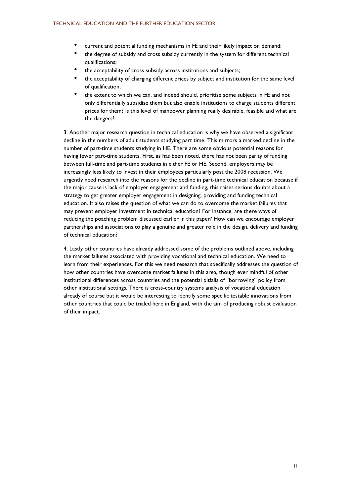- current and potential funding mechanisms in FE and their likely impact on demand;
- the degree of subsidy and cross subsidy currently in the system for different technical qualifications;
- the acceptability of cross subsidy across institutions and subjects;
- the acceptability of charging different prices by subject and institution for the same level of qualification;
- the extent to which we can, and indeed should, prioritise some subjects in FE and not only differentially subsidise them but also enable institutions to charge students different prices for them? Is this level of manpower planning really desirable, feasible and what are the dangers?

3. Another major research question in technical education is why we have observed a significant decline in the numbers of adult students studying part time. This mirrors a marked decline in the number of part-time students studying in HE. There are some obvious potential reasons for having fewer part-time students. First, as has been noted, there has not been parity of funding between full-time and part-time students in either FE or HE. Second, employers may be increasingly less likely to invest in their employees particularly post the 2008 recession. We urgently need research into the reasons for the decline in part-time technical education because if the major cause is lack of employer engagement and funding, this raises serious doubts about a strategy to get greater employer engagement in designing, providing and funding technical education. It also raises the question of what we can do to overcome the market failures that may prevent employer investment in technical education? For instance, are there ways of reducing the poaching problem discussed earlier in this paper? How can we encourage employer partnerships and associations to play a genuine and greater role in the design, delivery and funding of technical education?

4. Lastly other countries have already addressed some of the problems outlined above, including the market failures associated with providing vocational and technical education. We need to learn from their experiences. For this we need research that specifically addresses the question of how other countries have overcome market failures in this area, though ever mindful of other institutional differences across countries and the potential pitfalls of "borrowing" policy from other institutional settings. There is cross-country systems analysis of vocational education already of course but it would be interesting to identify some specific testable innovations from other countries that could be trialed here in England, with the aim of producing robust evaluation of their impact.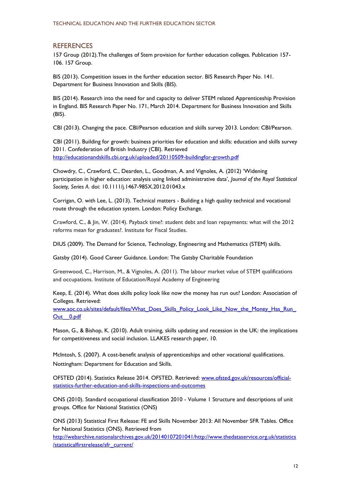## **REFERENCES**

157 Group (2012).The challenges of Stem provision for further education colleges. Publication 157- 106. 157 Group.

BIS (2013). Competition issues in the further education sector. BIS Research Paper No. 141. Department for Business Innovation and Skills (BIS).

BIS (2014). Research into the need for and capacity to deliver STEM related Apprenticeship Provision in England. BIS Research Paper No. 171, March 2014. Department for Business Innovation and Skills (BIS).

CBI (2013). Changing the pace. CBI/Pearson education and skills survey 2013. London: CBI/Pearson.

CBI (2011). Building for growth: business priorities for education and skills: education and skills survey 2011. Confederation of British Industry (CBI). Retrieved <http://educationandskills.cbi.org.uk/uploaded/20110509-buildingfor-growth.pdf>

Chowdry, C., Crawford, C., Dearden, L., Goodman, A. and Vignoles, A. (2012) 'Widening participation in higher education: analysis using linked administrative data', *Journal of the Royal Statistical Society, Series A*. doi: 10.1111/j.1467-985X.2012.01043.x

Corrigan, O. with Lee, L. (2013). Technical matters - Building a high quality technical and vocational route through the education system. London: Policy Exchange.

Crawford, C., & Jin, W. (2014). Payback time?: student debt and loan repayments: what will the 2012 reforms mean for graduates?. Institute for Fiscal Studies.

DIUS (2009). The Demand for Science, Technology, Engineering and Mathematics (STEM) skills.

Gatsby (2014). Good Career Guidance. London: The Gatsby Charitable Foundation

Greenwood, C., Harrison, M., & Vignoles, A. (2011). The labour market value of STEM qualifications and occupations. Institute of Education/Royal Academy of Engineering

Keep, E. (2014). What does skills policy look like now the money has run out? London: Association of Colleges. Retrieved:

www.aoc.co.uk/sites/default/files/What\_Does\_Skills\_Policy\_Look\_Like\_Now\_the\_Money\_Has\_Run [Out\\_\\_0.pdf](http://www.aoc.co.uk/sites/default/files/What_Does_Skills_Policy_Look_Like_Now_the_Money_Has_Run_Out__0.pdf)

Mason, G., & Bishop, K. (2010). Adult training, skills updating and recession in the UK: the implications for competitiveness and social inclusion. LLAKES research paper, 10.

McIntosh, S. (2007). A cost-benefit analysis of apprenticeships and other vocational qualifications. Nottingham: Department for Education and Skills.

OFSTED (2014). Statistics Release 2014. OFSTED. Retrieved: [www.ofsted.gov.uk/resources/official](http://www.ofsted.gov.uk/resources/official-statistics-further-education-and-skills-inspections-and-outcomes)[statistics-further-education-and-skills-inspections-and-outcomes](http://www.ofsted.gov.uk/resources/official-statistics-further-education-and-skills-inspections-and-outcomes)

ONS (2010). Standard occupational classification 2010 - Volume 1 Structure and descriptions of unit groups. Office for National Statistics (ONS)

ONS (2013) Statistical First Release: FE and Skills November 2013: All November SFR Tables. Office for National Statistics (ONS). Retrieved from

[http://webarchive.nationalarchives.gov.uk/20140107201041/http://www.thedataservice.org.uk/statistics](http://webarchive.nationalarchives.gov.uk/20140107201041/http:/www.thedataservice.org.uk/statistics/statisticalfirstrelease/sfr_current/) [/statisticalfirstrelease/sfr\\_current/](http://webarchive.nationalarchives.gov.uk/20140107201041/http:/www.thedataservice.org.uk/statistics/statisticalfirstrelease/sfr_current/)